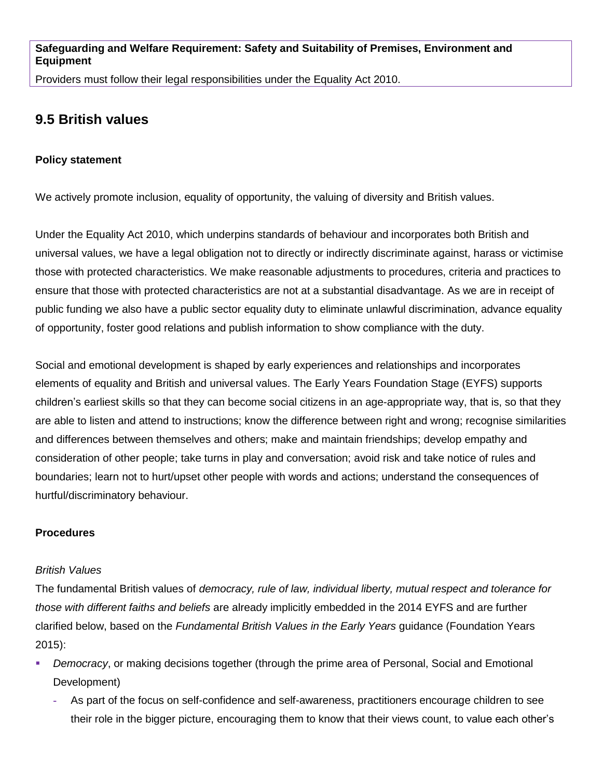Providers must follow their legal responsibilities under the Equality Act 2010.

# **9.5 British values**

#### **Policy statement**

We actively promote inclusion, equality of opportunity, the valuing of diversity and British values.

Under the Equality Act 2010, which underpins standards of behaviour and incorporates both British and universal values, we have a legal obligation not to directly or indirectly discriminate against, harass or victimise those with protected characteristics. We make reasonable adjustments to procedures, criteria and practices to ensure that those with protected characteristics are not at a substantial disadvantage. As we are in receipt of public funding we also have a public sector equality duty to eliminate unlawful discrimination, advance equality of opportunity, foster good relations and publish information to show compliance with the duty.

Social and emotional development is shaped by early experiences and relationships and incorporates elements of equality and British and universal values. The Early Years Foundation Stage (EYFS) supports children's earliest skills so that they can become social citizens in an age-appropriate way, that is, so that they are able to listen and attend to instructions; know the difference between right and wrong; recognise similarities and differences between themselves and others; make and maintain friendships; develop empathy and consideration of other people; take turns in play and conversation; avoid risk and take notice of rules and boundaries; learn not to hurt/upset other people with words and actions; understand the consequences of hurtful/discriminatory behaviour.

## **Procedures**

#### *British Values*

The fundamental British values of *democracy, rule of law, individual liberty, mutual respect and tolerance for those with different faiths and beliefs* are already implicitly embedded in the 2014 EYFS and are further clarified below, based on the *Fundamental British Values in the Early Years* guidance (Foundation Years 2015):

- *Democracy*, or making decisions together (through the prime area of Personal, Social and Emotional Development)
	- **-** As part of the focus on self-confidence and self-awareness, practitioners encourage children to see their role in the bigger picture, encouraging them to know that their views count, to value each other's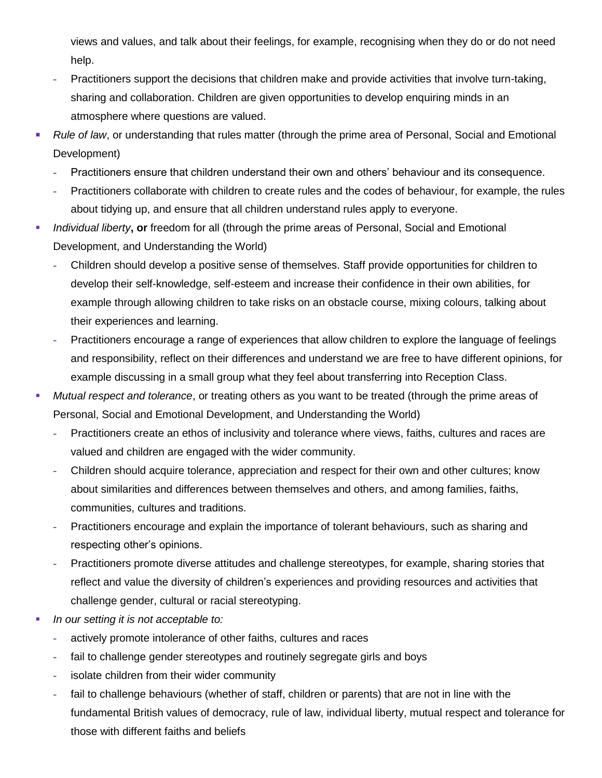views and values, and talk about their feelings, for example, recognising when they do or do not need help.

- **-** Practitioners support the decisions that children make and provide activities that involve turn-taking, sharing and collaboration. Children are given opportunities to develop enquiring minds in an atmosphere where questions are valued.
- *Rule of law*, or understanding that rules matter (through the prime area of Personal, Social and Emotional Development)
	- **-** Practitioners ensure that children understand their own and others' behaviour and its consequence.
	- **-** Practitioners collaborate with children to create rules and the codes of behaviour, for example, the rules about tidying up, and ensure that all children understand rules apply to everyone.
- *Individual liberty***, or** freedom for all (through the prime areas of Personal, Social and Emotional Development, and Understanding the World)
	- **-** Children should develop a positive sense of themselves. Staff provide opportunities for children to develop their self-knowledge, self-esteem and increase their confidence in their own abilities, for example through allowing children to take risks on an obstacle course, mixing colours, talking about their experiences and learning.
	- **-** Practitioners encourage a range of experiences that allow children to explore the language of feelings and responsibility, reflect on their differences and understand we are free to have different opinions, for example discussing in a small group what they feel about transferring into Reception Class.
- *Mutual respect and tolerance*, or treating others as you want to be treated (through the prime areas of Personal, Social and Emotional Development, and Understanding the World)
	- **-** Practitioners create an ethos of inclusivity and tolerance where views, faiths, cultures and races are valued and children are engaged with the wider community.
	- **-** Children should acquire tolerance, appreciation and respect for their own and other cultures; know about similarities and differences between themselves and others, and among families, faiths, communities, cultures and traditions.
	- **-** Practitioners encourage and explain the importance of tolerant behaviours, such as sharing and respecting other's opinions.
	- **-** Practitioners promote diverse attitudes and challenge stereotypes, for example, sharing stories that reflect and value the diversity of children's experiences and providing resources and activities that challenge gender, cultural or racial stereotyping.
- *In our setting it is not acceptable to:*
	- **-** actively promote intolerance of other faiths, cultures and races
	- **-** fail to challenge gender stereotypes and routinely segregate girls and boys
	- **-** isolate children from their wider community
	- **-** fail to challenge behaviours (whether of staff, children or parents) that are not in line with the fundamental British values of democracy, rule of law, individual liberty, mutual respect and tolerance for those with different faiths and beliefs